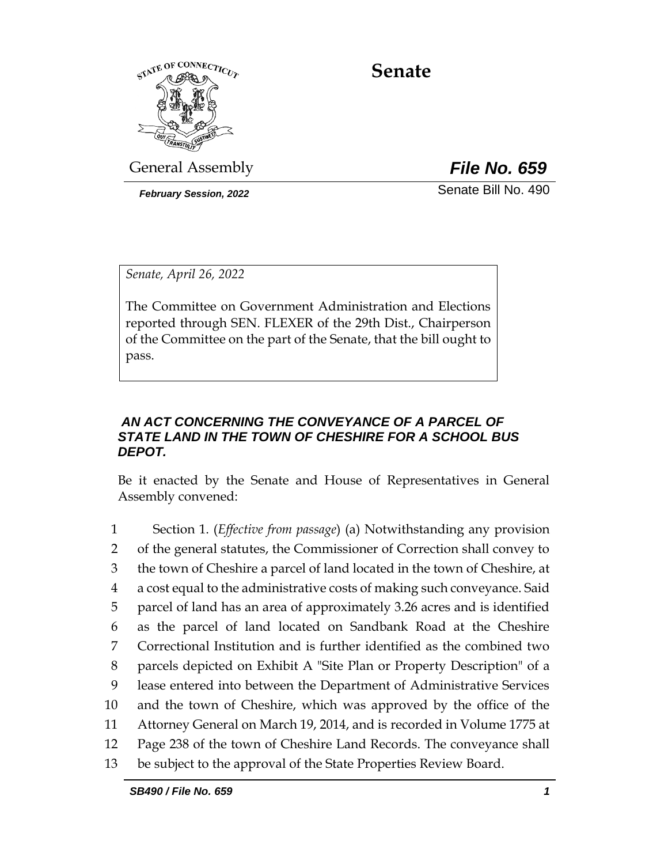

# **Senate**

General Assembly *File No. 659*

*February Session, 2022* Senate Bill No. 490

*Senate, April 26, 2022*

The Committee on Government Administration and Elections reported through SEN. FLEXER of the 29th Dist., Chairperson of the Committee on the part of the Senate, that the bill ought to pass.

# *AN ACT CONCERNING THE CONVEYANCE OF A PARCEL OF STATE LAND IN THE TOWN OF CHESHIRE FOR A SCHOOL BUS DEPOT.*

Be it enacted by the Senate and House of Representatives in General Assembly convened:

 Section 1. (*Effective from passage*) (a) Notwithstanding any provision of the general statutes, the Commissioner of Correction shall convey to the town of Cheshire a parcel of land located in the town of Cheshire, at a cost equal to the administrative costs of making such conveyance. Said parcel of land has an area of approximately 3.26 acres and is identified as the parcel of land located on Sandbank Road at the Cheshire Correctional Institution and is further identified as the combined two parcels depicted on Exhibit A "Site Plan or Property Description" of a lease entered into between the Department of Administrative Services and the town of Cheshire, which was approved by the office of the Attorney General on March 19, 2014, and is recorded in Volume 1775 at Page 238 of the town of Cheshire Land Records. The conveyance shall be subject to the approval of the State Properties Review Board.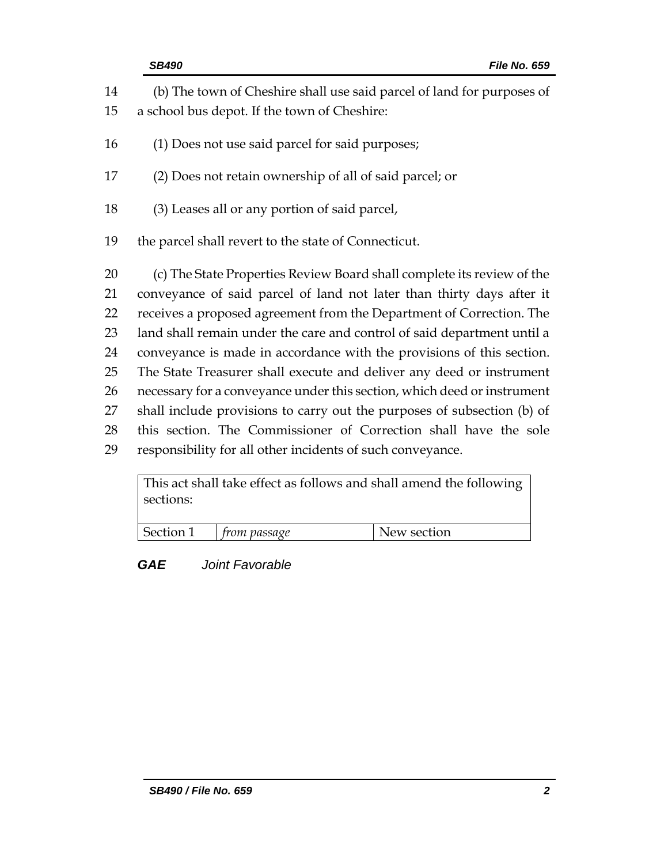|          | <b>SB490</b><br><b>File No. 659</b>                                                                                    |
|----------|------------------------------------------------------------------------------------------------------------------------|
| 14<br>15 | (b) The town of Cheshire shall use said parcel of land for purposes of<br>a school bus depot. If the town of Cheshire: |
| 16       | (1) Does not use said parcel for said purposes;                                                                        |
| 17       | (2) Does not retain ownership of all of said parcel; or                                                                |
| 18       | (3) Leases all or any portion of said parcel,                                                                          |
| 19       | the parcel shall revert to the state of Connecticut.                                                                   |
| 20       | (c) The State Properties Review Board shall complete its review of the                                                 |
| 21       | conveyance of said parcel of land not later than thirty days after it                                                  |
| 22       | receives a proposed agreement from the Department of Correction. The                                                   |
| 23       | land shall remain under the care and control of said department until a                                                |
| 24       | conveyance is made in accordance with the provisions of this section.                                                  |
| 25       | The State Treasurer shall execute and deliver any deed or instrument                                                   |
| 26       | necessary for a conveyance under this section, which deed or instrument                                                |
| 27       | shall include provisions to carry out the purposes of subsection (b) of                                                |
| 28       | this section. The Commissioner of Correction shall have the sole                                                       |
| 29       | responsibility for all other incidents of such conveyance.                                                             |

This act shall take effect as follows and shall amend the following sections:

| Section 1 | trom passage | New section |
|-----------|--------------|-------------|
|-----------|--------------|-------------|

*GAE Joint Favorable*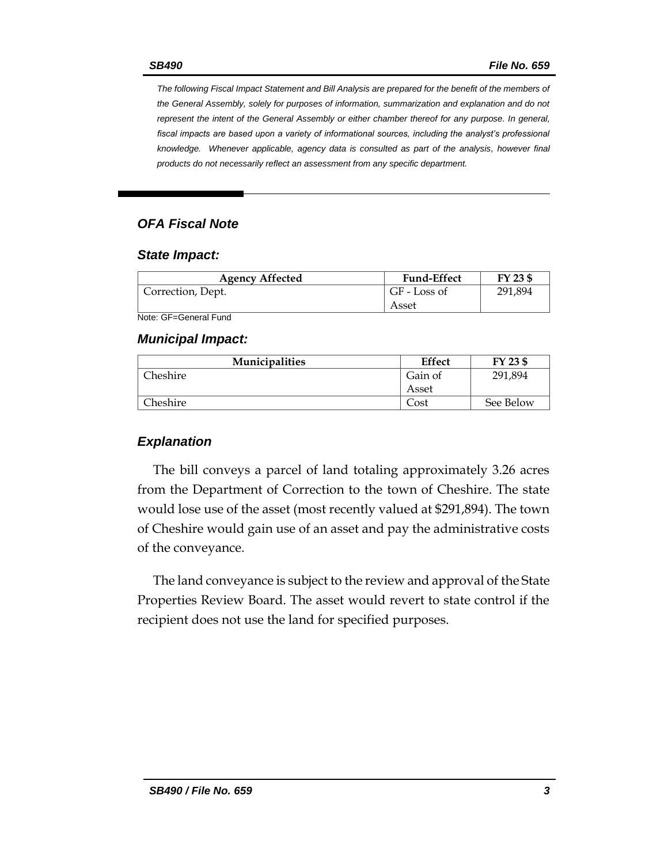*The following Fiscal Impact Statement and Bill Analysis are prepared for the benefit of the members of the General Assembly, solely for purposes of information, summarization and explanation and do not represent the intent of the General Assembly or either chamber thereof for any purpose. In general,*  fiscal impacts are based upon a variety of informational sources, including the analyst's professional *knowledge. Whenever applicable, agency data is consulted as part of the analysis, however final products do not necessarily reflect an assessment from any specific department.*

## *OFA Fiscal Note*

#### *State Impact:*

| <b>Agency Affected</b> | <b>Fund-Effect</b> | FY 23 \$ |
|------------------------|--------------------|----------|
| Correction, Dept.      | GF - Loss of       | 291,894  |
|                        | Asset              |          |

Note: GF=General Fund

#### *Municipal Impact:*

| <b>Municipalities</b> | <b>Effect</b> | FY 23 \$  |
|-----------------------|---------------|-----------|
| Cheshire              | Gain of       | 291,894   |
|                       | Asset         |           |
| Cheshire :            | ∠ost          | See Below |

## *Explanation*

The bill conveys a parcel of land totaling approximately 3.26 acres from the Department of Correction to the town of Cheshire. The state would lose use of the asset (most recently valued at \$291,894). The town of Cheshire would gain use of an asset and pay the administrative costs of the conveyance.

The land conveyance is subject to the review and approval of the State Properties Review Board. The asset would revert to state control if the recipient does not use the land for specified purposes.